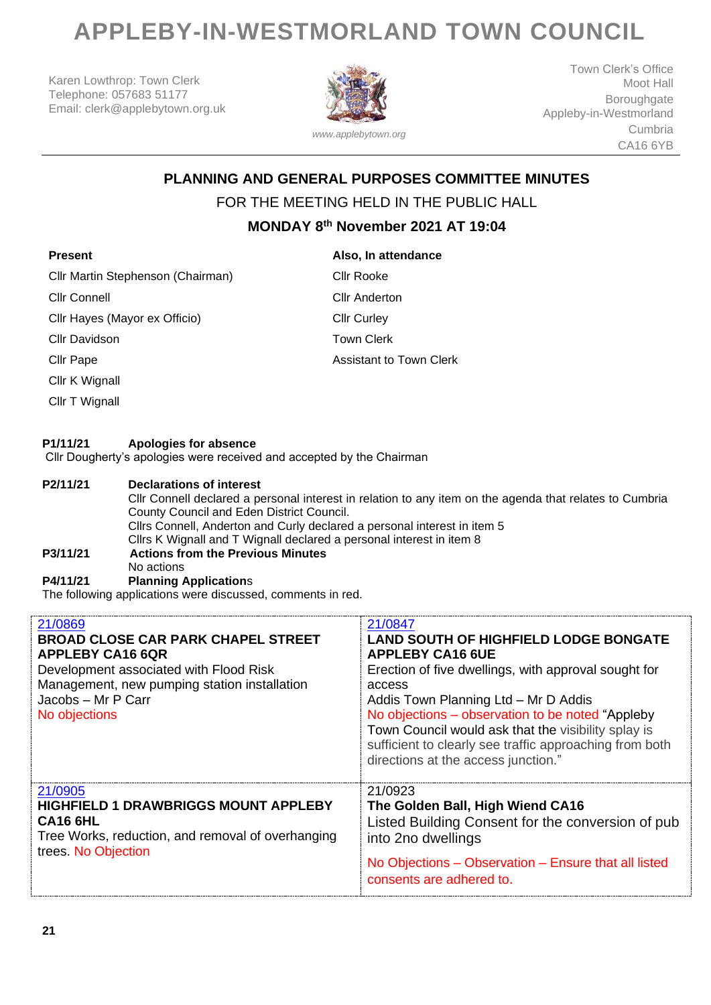# **APPLEBY-IN-WESTMORLAND TOWN COUNCIL**

Karen Lowthrop: Town Clerk Telephone: 057683 51177 Email: clerk@applebytown.org.uk



Town Clerk's Office Moot Hall Boroughgate Appleby-in-Westmorland Cumbria CA16 6YB

# **PLANNING AND GENERAL PURPOSES COMMITTEE MINUTES**

### FOR THE MEETING HELD IN THE PUBLIC HALL

## **MONDAY 8 th November 2021 AT 19:04**

| <b>Present</b>                    | Also, In attendance            |
|-----------------------------------|--------------------------------|
| Cllr Martin Stephenson (Chairman) | Cllr Rooke                     |
| Cllr Connell                      | <b>Cllr Anderton</b>           |
| Cllr Hayes (Mayor ex Officio)     | <b>Cllr Curley</b>             |
| <b>Cllr Davidson</b>              | <b>Town Clerk</b>              |
| Cllr Pape                         | <b>Assistant to Town Clerk</b> |
| Cllr K Wignall                    |                                |
| Cllr T Wignall                    |                                |

#### **P1/11/21 Apologies for absence**

Cllr Dougherty's apologies were received and accepted by the Chairman

#### **P2/11/21 Declarations of interest**

Cllr Connell declared a personal interest in relation to any item on the agenda that relates to Cumbria County Council and Eden District Council. Cllrs Connell, Anderton and Curly declared a personal interest in item 5 Cllrs K Wignall and T Wignall declared a personal interest in item 8 **P3/11/21 Actions from the Previous Minutes** No actions **P4/11/21 Planning Application**s

The following applications were discussed, comments in red.

| 21/0869<br><b>BROAD CLOSE CAR PARK CHAPEL STREET</b><br><b>APPLEBY CA16 6QR</b><br>Development associated with Flood Risk<br>Management, new pumping station installation<br>Jacobs - Mr P Carr<br>No objections | 21/0847<br><b>LAND SOUTH OF HIGHFIELD LODGE BONGATE</b><br><b>APPLEBY CA16 6UE</b><br>Erection of five dwellings, with approval sought for<br>access<br>Addis Town Planning Ltd - Mr D Addis<br>No objections – observation to be noted "Appleby"<br>Town Council would ask that the visibility splay is<br>sufficient to clearly see traffic approaching from both<br>directions at the access junction." |
|------------------------------------------------------------------------------------------------------------------------------------------------------------------------------------------------------------------|------------------------------------------------------------------------------------------------------------------------------------------------------------------------------------------------------------------------------------------------------------------------------------------------------------------------------------------------------------------------------------------------------------|
| 21/0905<br><b>HIGHFIELD 1 DRAWBRIGGS MOUNT APPLEBY</b><br><b>CA16 6HL</b><br>Tree Works, reduction, and removal of overhanging<br>trees. No Objection                                                            | 21/0923<br>The Golden Ball, High Wiend CA16<br>Listed Building Consent for the conversion of pub<br>into 2no dwellings<br>No Objections – Observation – Ensure that all listed<br>consents are adhered to.                                                                                                                                                                                                 |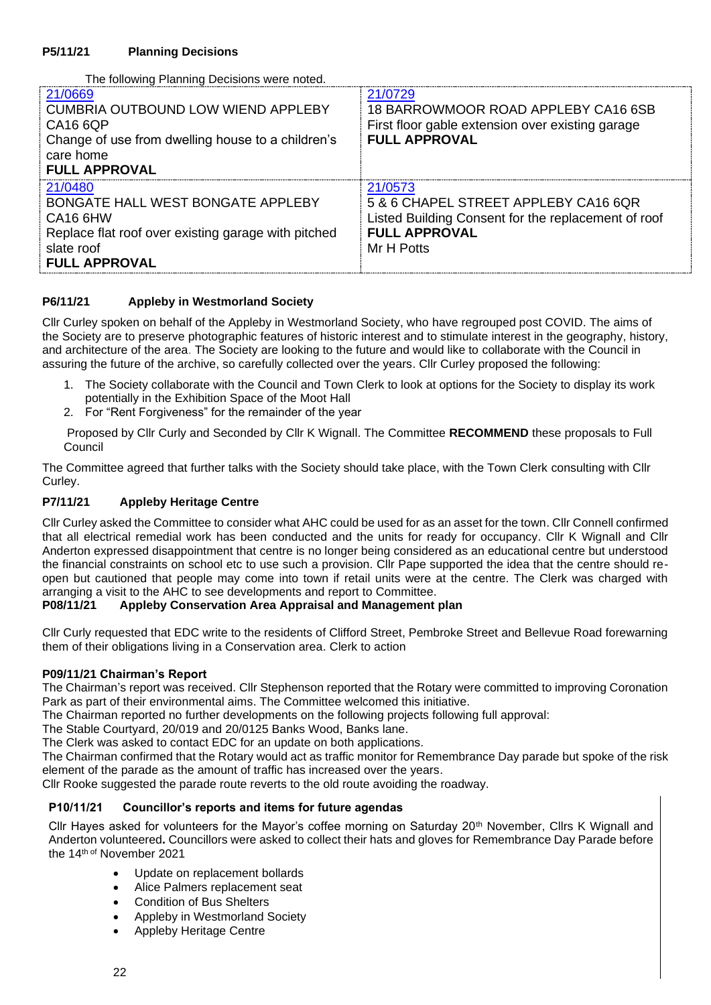The following Planning Decisions were noted.

| 21/0669<br><b>CUMBRIA OUTBOUND LOW WIEND APPLEBY</b><br>CA16 6QP<br>Change of use from dwelling house to a children's<br>care home<br><b>FULL APPROVAL</b>        | 21/0729<br>18 BARROWMOOR ROAD APPLEBY CA16 6SB<br>First floor gable extension over existing garage<br><b>FULL APPROVAL</b>                   |
|-------------------------------------------------------------------------------------------------------------------------------------------------------------------|----------------------------------------------------------------------------------------------------------------------------------------------|
| 21/0480<br>BONGATE HALL WEST BONGATE APPLEBY<br>CA <sub>16</sub> 6HW<br>Replace flat roof over existing garage with pitched<br>slate roof<br><b>FULL APPROVAL</b> | 21/0573<br>5 & 6 CHAPEL STREET APPLEBY CA16 6QR<br>Listed Building Consent for the replacement of roof<br><b>FULL APPROVAL</b><br>Mr H Potts |

#### **P6/11/21 Appleby in Westmorland Society**

Cllr Curley spoken on behalf of the Appleby in Westmorland Society, who have regrouped post COVID. The aims of the Society are to preserve photographic features of historic interest and to stimulate interest in the geography, history, and architecture of the area. The Society are looking to the future and would like to collaborate with the Council in assuring the future of the archive, so carefully collected over the years. Cllr Curley proposed the following:

- 1. The Society collaborate with the Council and Town Clerk to look at options for the Society to display its work potentially in the Exhibition Space of the Moot Hall
- 2. For "Rent Forgiveness" for the remainder of the year

Proposed by Cllr Curly and Seconded by Cllr K Wignall. The Committee **RECOMMEND** these proposals to Full Council

The Committee agreed that further talks with the Society should take place, with the Town Clerk consulting with Cllr Curley.

#### **P7/11/21 Appleby Heritage Centre**

Cllr Curley asked the Committee to consider what AHC could be used for as an asset for the town. Cllr Connell confirmed that all electrical remedial work has been conducted and the units for ready for occupancy. Cllr K Wignall and Cllr Anderton expressed disappointment that centre is no longer being considered as an educational centre but understood the financial constraints on school etc to use such a provision. Cllr Pape supported the idea that the centre should reopen but cautioned that people may come into town if retail units were at the centre. The Clerk was charged with arranging a visit to the AHC to see developments and report to Committee.<br>**P08/11/21** Appleby Conservation Area Appraisal and Management

#### **Appleby Conservation Area Appraisal and Management plan**

Cllr Curly requested that EDC write to the residents of Clifford Street, Pembroke Street and Bellevue Road forewarning them of their obligations living in a Conservation area. Clerk to action

#### **P09/11/21 Chairman's Report**

The Chairman's report was received. Cllr Stephenson reported that the Rotary were committed to improving Coronation Park as part of their environmental aims. The Committee welcomed this initiative.

The Chairman reported no further developments on the following projects following full approval:

The Stable Courtyard, 20/019 and 20/0125 Banks Wood, Banks lane.

The Clerk was asked to contact EDC for an update on both applications.

The Chairman confirmed that the Rotary would act as traffic monitor for Remembrance Day parade but spoke of the risk element of the parade as the amount of traffic has increased over the years.

Cllr Rooke suggested the parade route reverts to the old route avoiding the roadway.

#### **P10/11/21 Councillor's reports and items for future agendas**

Cllr Hayes asked for volunteers for the Mayor's coffee morning on Saturday 20th November, Cllrs K Wignall and Anderton volunteered**.** Councillors were asked to collect their hats and gloves for Remembrance Day Parade before the 14th of November 2021

- Update on replacement bollards
- Alice Palmers replacement seat
- Condition of Bus Shelters
- Appleby in Westmorland Society
- Appleby Heritage Centre